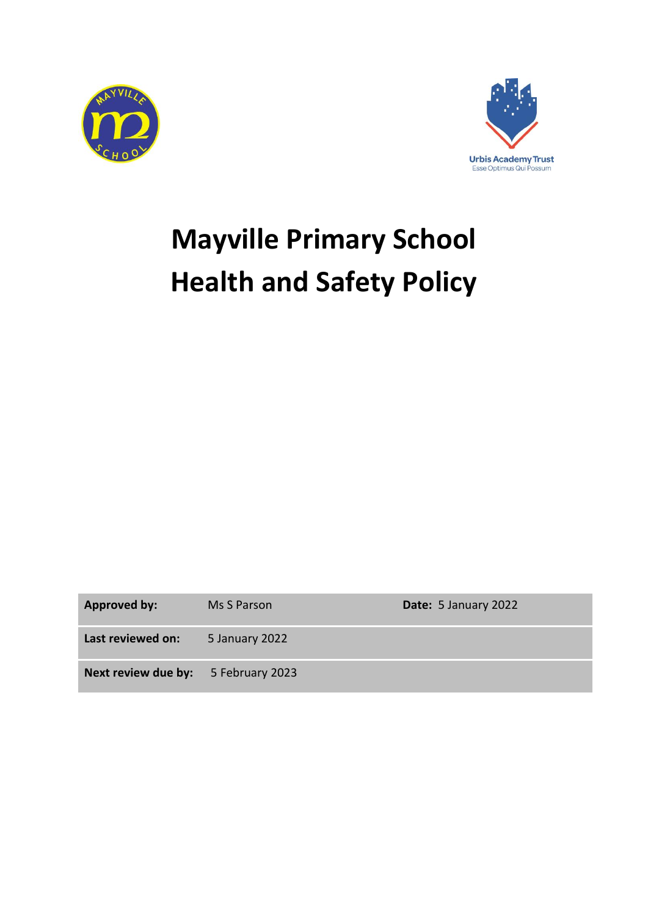



# **Mayville Primary School Health and Safety Policy**

**Approved by:** Ms S Parson **Date:** 5 January 2022

**Last reviewed on:** 5 January 2022

**Next review due by:** 5 February 2023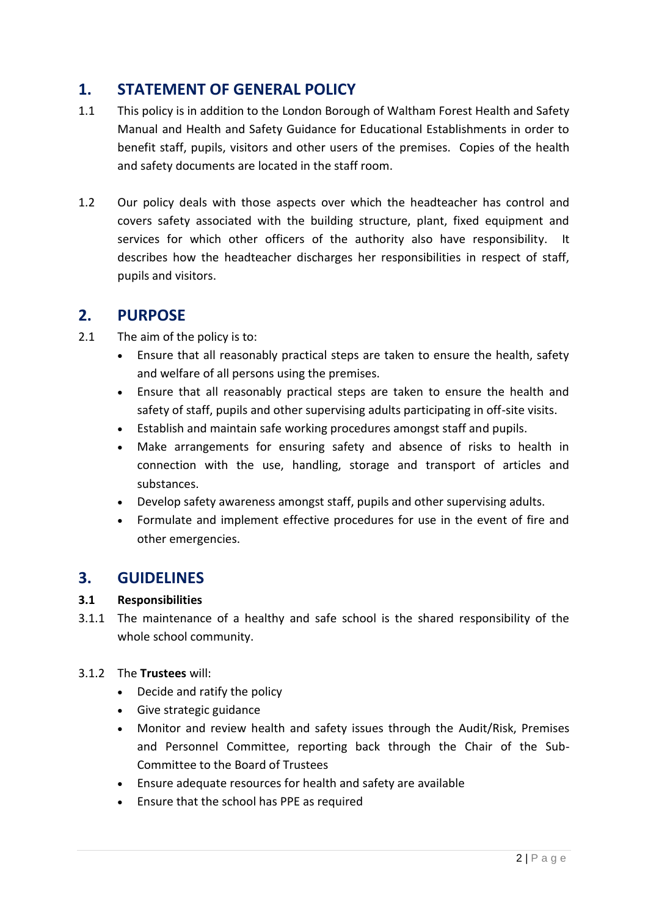# **1. STATEMENT OF GENERAL POLICY**

- 1.1 This policy is in addition to the London Borough of Waltham Forest Health and Safety Manual and Health and Safety Guidance for Educational Establishments in order to benefit staff, pupils, visitors and other users of the premises. Copies of the health and safety documents are located in the staff room.
- 1.2 Our policy deals with those aspects over which the headteacher has control and covers safety associated with the building structure, plant, fixed equipment and services for which other officers of the authority also have responsibility. It describes how the headteacher discharges her responsibilities in respect of staff, pupils and visitors.

# **2. PURPOSE**

- 2.1 The aim of the policy is to:
	- Ensure that all reasonably practical steps are taken to ensure the health, safety and welfare of all persons using the premises.
	- Ensure that all reasonably practical steps are taken to ensure the health and safety of staff, pupils and other supervising adults participating in off-site visits.
	- Establish and maintain safe working procedures amongst staff and pupils.
	- Make arrangements for ensuring safety and absence of risks to health in connection with the use, handling, storage and transport of articles and substances.
	- Develop safety awareness amongst staff, pupils and other supervising adults.
	- Formulate and implement effective procedures for use in the event of fire and other emergencies.

# **3. GUIDELINES**

# **3.1 Responsibilities**

- 3.1.1 The maintenance of a healthy and safe school is the shared responsibility of the whole school community.
- 3.1.2 The **Trustees** will:
	- Decide and ratify the policy
	- Give strategic guidance
	- Monitor and review health and safety issues through the Audit/Risk, Premises and Personnel Committee, reporting back through the Chair of the Sub-Committee to the Board of Trustees
	- Ensure adequate resources for health and safety are available
	- Ensure that the school has PPE as required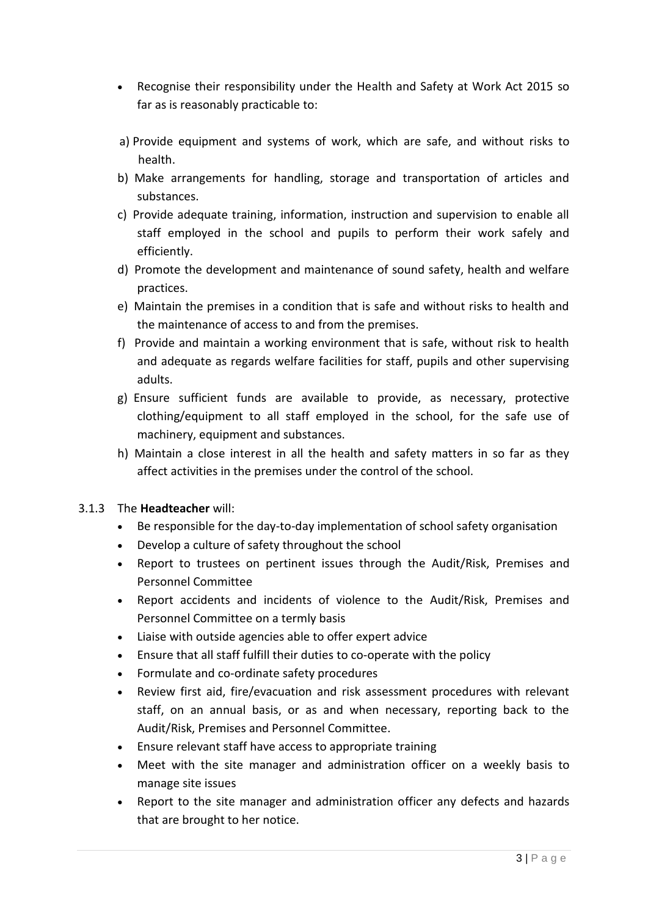- Recognise their responsibility under the Health and Safety at Work Act 2015 so far as is reasonably practicable to:
- a) Provide equipment and systems of work, which are safe, and without risks to health.
- b) Make arrangements for handling, storage and transportation of articles and substances.
- c) Provide adequate training, information, instruction and supervision to enable all staff employed in the school and pupils to perform their work safely and efficiently.
- d) Promote the development and maintenance of sound safety, health and welfare practices.
- e) Maintain the premises in a condition that is safe and without risks to health and the maintenance of access to and from the premises.
- f) Provide and maintain a working environment that is safe, without risk to health and adequate as regards welfare facilities for staff, pupils and other supervising adults.
- g) Ensure sufficient funds are available to provide, as necessary, protective clothing/equipment to all staff employed in the school, for the safe use of machinery, equipment and substances.
- h) Maintain a close interest in all the health and safety matters in so far as they affect activities in the premises under the control of the school.

# 3.1.3 The **Headteacher** will:

- Be responsible for the day-to-day implementation of school safety organisation
- Develop a culture of safety throughout the school
- Report to trustees on pertinent issues through the Audit/Risk, Premises and Personnel Committee
- Report accidents and incidents of violence to the Audit/Risk, Premises and Personnel Committee on a termly basis
- Liaise with outside agencies able to offer expert advice
- Ensure that all staff fulfill their duties to co-operate with the policy
- Formulate and co-ordinate safety procedures
- Review first aid, fire/evacuation and risk assessment procedures with relevant staff, on an annual basis, or as and when necessary, reporting back to the Audit/Risk, Premises and Personnel Committee.
- Ensure relevant staff have access to appropriate training
- Meet with the site manager and administration officer on a weekly basis to manage site issues
- Report to the site manager and administration officer any defects and hazards that are brought to her notice.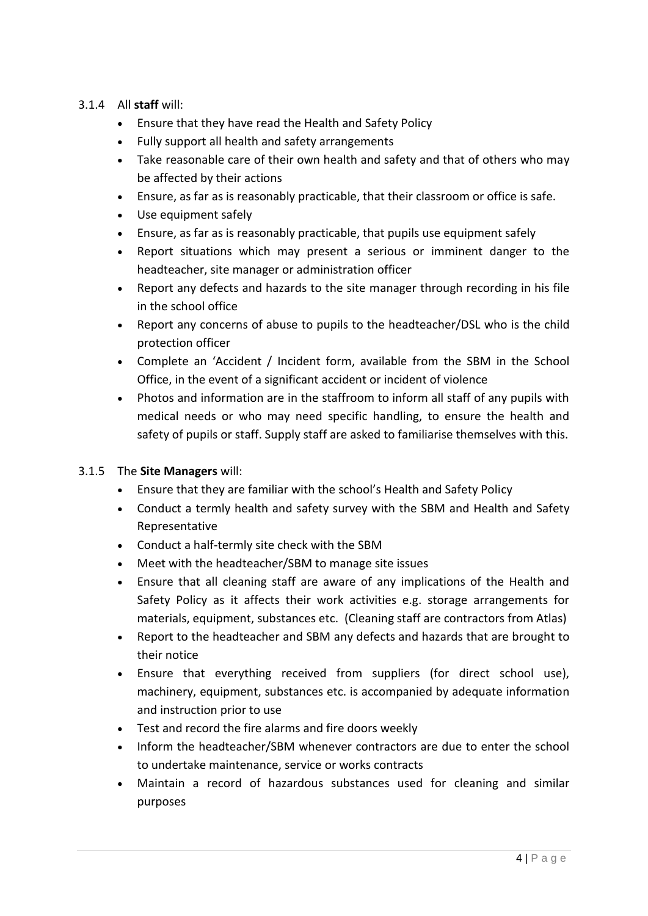# 3.1.4 All **staff** will:

- Ensure that they have read the Health and Safety Policy
- Fully support all health and safety arrangements
- Take reasonable care of their own health and safety and that of others who may be affected by their actions
- Ensure, as far as is reasonably practicable, that their classroom or office is safe.
- Use equipment safely
- Ensure, as far as is reasonably practicable, that pupils use equipment safely
- Report situations which may present a serious or imminent danger to the headteacher, site manager or administration officer
- Report any defects and hazards to the site manager through recording in his file in the school office
- Report any concerns of abuse to pupils to the headteacher/DSL who is the child protection officer
- Complete an 'Accident / Incident form, available from the SBM in the School Office, in the event of a significant accident or incident of violence
- Photos and information are in the staffroom to inform all staff of any pupils with medical needs or who may need specific handling, to ensure the health and safety of pupils or staff. Supply staff are asked to familiarise themselves with this.

# 3.1.5 The **Site Managers** will:

- Ensure that they are familiar with the school's Health and Safety Policy
- Conduct a termly health and safety survey with the SBM and Health and Safety Representative
- Conduct a half-termly site check with the SBM
- Meet with the headteacher/SBM to manage site issues
- Ensure that all cleaning staff are aware of any implications of the Health and Safety Policy as it affects their work activities e.g. storage arrangements for materials, equipment, substances etc. (Cleaning staff are contractors from Atlas)
- Report to the headteacher and SBM any defects and hazards that are brought to their notice
- Ensure that everything received from suppliers (for direct school use), machinery, equipment, substances etc. is accompanied by adequate information and instruction prior to use
- Test and record the fire alarms and fire doors weekly
- Inform the headteacher/SBM whenever contractors are due to enter the school to undertake maintenance, service or works contracts
- Maintain a record of hazardous substances used for cleaning and similar purposes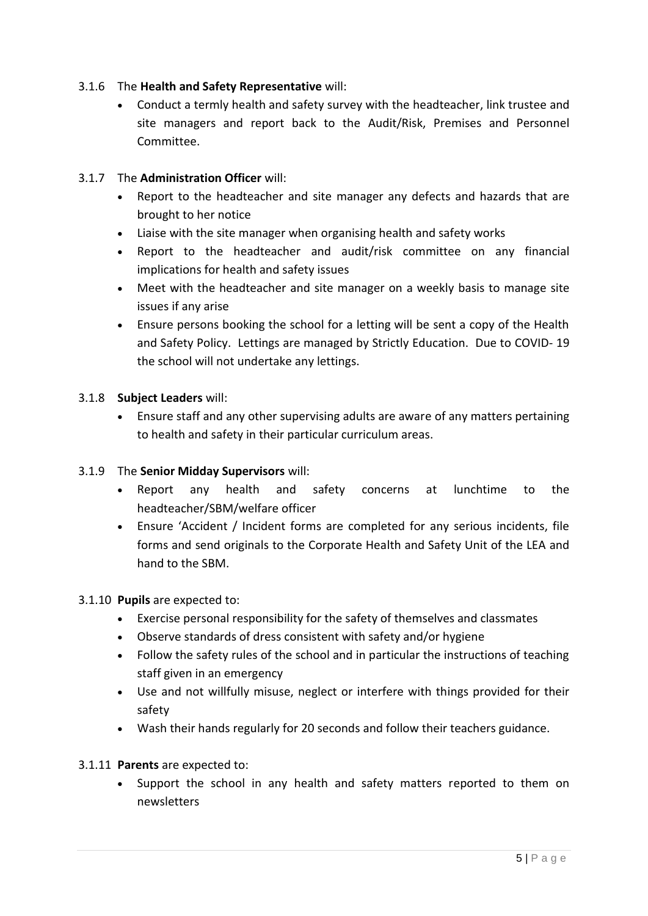# 3.1.6 The **Health and Safety Representative** will:

 Conduct a termly health and safety survey with the headteacher, link trustee and site managers and report back to the Audit/Risk, Premises and Personnel Committee.

# 3.1.7 The **Administration Officer** will:

- Report to the headteacher and site manager any defects and hazards that are brought to her notice
- Liaise with the site manager when organising health and safety works
- Report to the headteacher and audit/risk committee on any financial implications for health and safety issues
- Meet with the headteacher and site manager on a weekly basis to manage site issues if any arise
- Ensure persons booking the school for a letting will be sent a copy of the Health and Safety Policy. Lettings are managed by Strictly Education. Due to COVID- 19 the school will not undertake any lettings.

# 3.1.8 **Subject Leaders** will:

 Ensure staff and any other supervising adults are aware of any matters pertaining to health and safety in their particular curriculum areas.

# 3.1.9 The **Senior Midday Supervisors** will:

- Report any health and safety concerns at lunchtime to the headteacher/SBM/welfare officer
- Ensure 'Accident / Incident forms are completed for any serious incidents, file forms and send originals to the Corporate Health and Safety Unit of the LEA and hand to the SBM.

#### 3.1.10 **Pupils** are expected to:

- Exercise personal responsibility for the safety of themselves and classmates
- Observe standards of dress consistent with safety and/or hygiene
- Follow the safety rules of the school and in particular the instructions of teaching staff given in an emergency
- Use and not willfully misuse, neglect or interfere with things provided for their safety
- Wash their hands regularly for 20 seconds and follow their teachers guidance.

# 3.1.11 **Parents** are expected to:

• Support the school in any health and safety matters reported to them on newsletters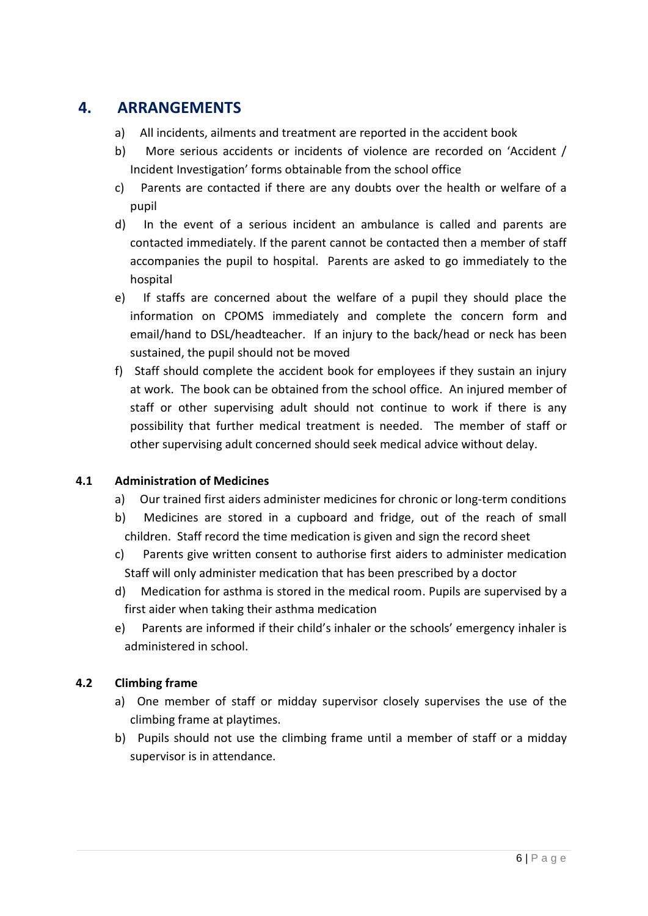# **4. ARRANGEMENTS**

- a) All incidents, ailments and treatment are reported in the accident book
- b) More serious accidents or incidents of violence are recorded on 'Accident / Incident Investigation' forms obtainable from the school office
- c) Parents are contacted if there are any doubts over the health or welfare of a pupil
- d) In the event of a serious incident an ambulance is called and parents are contacted immediately. If the parent cannot be contacted then a member of staff accompanies the pupil to hospital. Parents are asked to go immediately to the hospital
- e) If staffs are concerned about the welfare of a pupil they should place the information on CPOMS immediately and complete the concern form and email/hand to DSL/headteacher. If an injury to the back/head or neck has been sustained, the pupil should not be moved
- f) Staff should complete the accident book for employees if they sustain an injury at work. The book can be obtained from the school office. An injured member of staff or other supervising adult should not continue to work if there is any possibility that further medical treatment is needed. The member of staff or other supervising adult concerned should seek medical advice without delay.

# **4.1 Administration of Medicines**

- a) Our trained first aiders administer medicines for chronic or long-term conditions
- b) Medicines are stored in a cupboard and fridge, out of the reach of small children. Staff record the time medication is given and sign the record sheet
- c) Parents give written consent to authorise first aiders to administer medication Staff will only administer medication that has been prescribed by a doctor
- d) Medication for asthma is stored in the medical room. Pupils are supervised by a first aider when taking their asthma medication
- e) Parents are informed if their child's inhaler or the schools' emergency inhaler is administered in school.

# **4.2 Climbing frame**

- a) One member of staff or midday supervisor closely supervises the use of the climbing frame at playtimes.
- b) Pupils should not use the climbing frame until a member of staff or a midday supervisor is in attendance.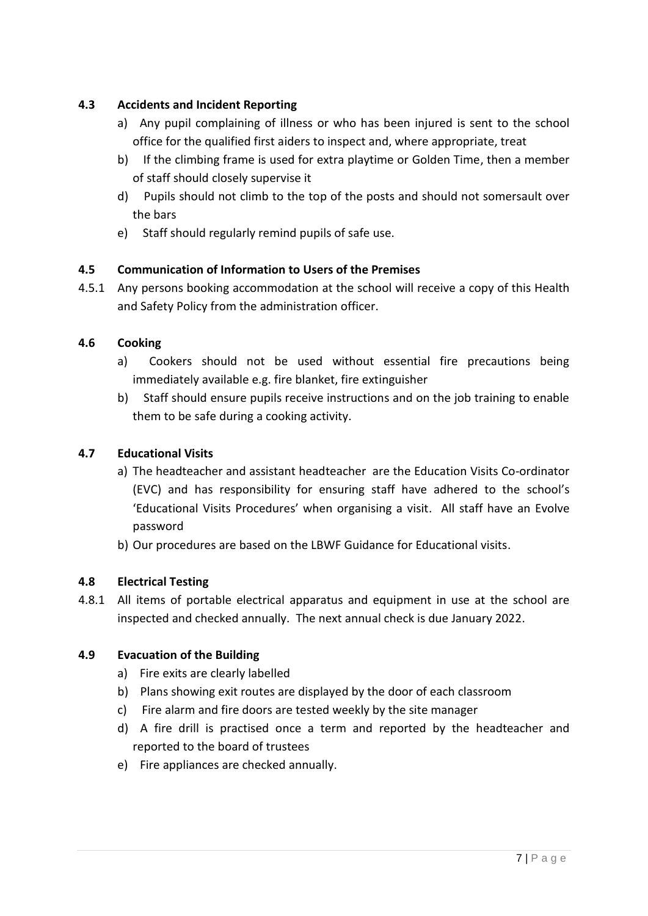# **4.3 Accidents and Incident Reporting**

- a) Any pupil complaining of illness or who has been injured is sent to the school office for the qualified first aiders to inspect and, where appropriate, treat
- b) If the climbing frame is used for extra playtime or Golden Time, then a member of staff should closely supervise it
- d) Pupils should not climb to the top of the posts and should not somersault over the bars
- e) Staff should regularly remind pupils of safe use.

# **4.5 Communication of Information to Users of the Premises**

4.5.1 Any persons booking accommodation at the school will receive a copy of this Health and Safety Policy from the administration officer.

# **4.6 Cooking**

- a) Cookers should not be used without essential fire precautions being immediately available e.g. fire blanket, fire extinguisher
- b) Staff should ensure pupils receive instructions and on the job training to enable them to be safe during a cooking activity.

# **4.7 Educational Visits**

- a) The headteacher and assistant headteacher are the Education Visits Co-ordinator (EVC) and has responsibility for ensuring staff have adhered to the school's 'Educational Visits Procedures' when organising a visit. All staff have an Evolve password
- b) Our procedures are based on the LBWF Guidance for Educational visits.

# **4.8 Electrical Testing**

4.8.1 All items of portable electrical apparatus and equipment in use at the school are inspected and checked annually. The next annual check is due January 2022.

# **4.9 Evacuation of the Building**

- a) Fire exits are clearly labelled
- b) Plans showing exit routes are displayed by the door of each classroom
- c) Fire alarm and fire doors are tested weekly by the site manager
- d) A fire drill is practised once a term and reported by the headteacher and reported to the board of trustees
- e) Fire appliances are checked annually.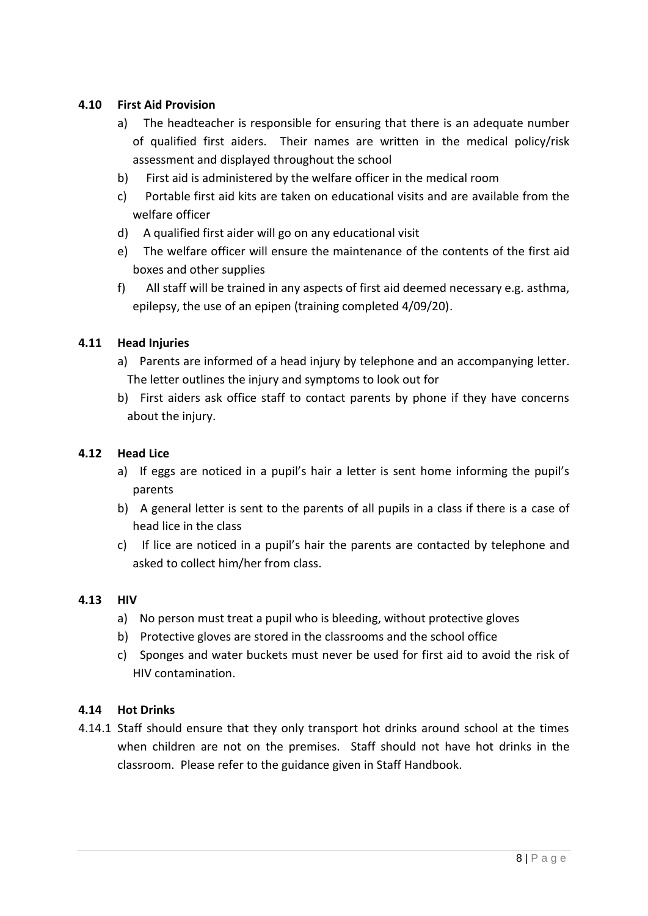# **4.10 First Aid Provision**

- a) The headteacher is responsible for ensuring that there is an adequate number of qualified first aiders. Their names are written in the medical policy/risk assessment and displayed throughout the school
- b) First aid is administered by the welfare officer in the medical room
- c) Portable first aid kits are taken on educational visits and are available from the welfare officer
- d) A qualified first aider will go on any educational visit
- e) The welfare officer will ensure the maintenance of the contents of the first aid boxes and other supplies
- f) All staff will be trained in any aspects of first aid deemed necessary e.g. asthma, epilepsy, the use of an epipen (training completed 4/09/20).

# **4.11 Head Injuries**

- a) Parents are informed of a head injury by telephone and an accompanying letter. The letter outlines the injury and symptoms to look out for
- b) First aiders ask office staff to contact parents by phone if they have concerns about the injury.

#### **4.12 Head Lice**

- a) If eggs are noticed in a pupil's hair a letter is sent home informing the pupil's parents
- b) A general letter is sent to the parents of all pupils in a class if there is a case of head lice in the class
- c) If lice are noticed in a pupil's hair the parents are contacted by telephone and asked to collect him/her from class.

#### **4.13 HIV**

- a) No person must treat a pupil who is bleeding, without protective gloves
- b) Protective gloves are stored in the classrooms and the school office
- c) Sponges and water buckets must never be used for first aid to avoid the risk of HIV contamination.

#### **4.14 Hot Drinks**

4.14.1 Staff should ensure that they only transport hot drinks around school at the times when children are not on the premises. Staff should not have hot drinks in the classroom. Please refer to the guidance given in Staff Handbook.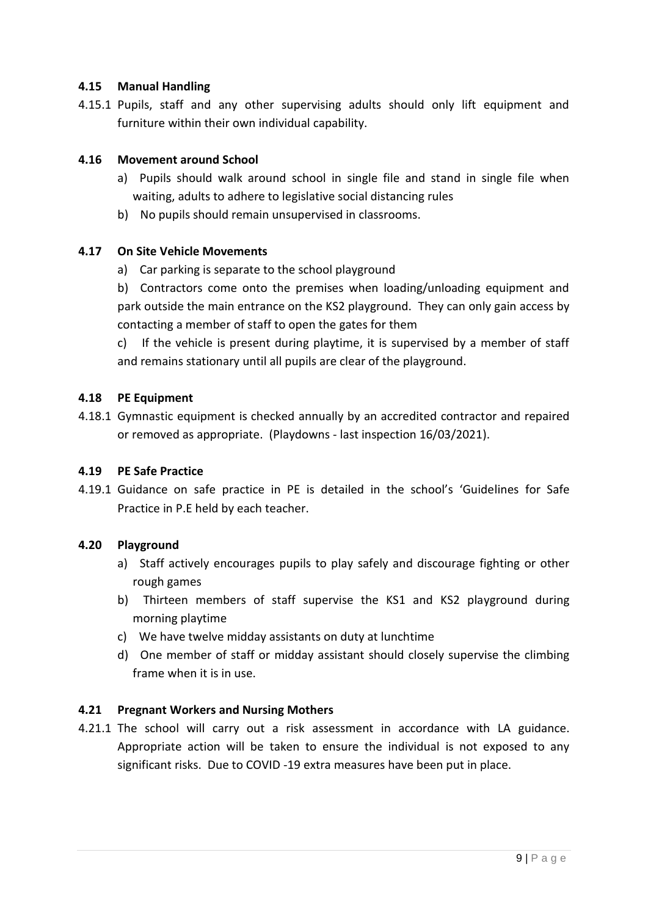# **4.15 Manual Handling**

4.15.1 Pupils, staff and any other supervising adults should only lift equipment and furniture within their own individual capability.

# **4.16 Movement around School**

- a) Pupils should walk around school in single file and stand in single file when waiting, adults to adhere to legislative social distancing rules
- b) No pupils should remain unsupervised in classrooms.

#### **4.17 On Site Vehicle Movements**

a) Car parking is separate to the school playground

b) Contractors come onto the premises when loading/unloading equipment and park outside the main entrance on the KS2 playground. They can only gain access by contacting a member of staff to open the gates for them

c) If the vehicle is present during playtime, it is supervised by a member of staff and remains stationary until all pupils are clear of the playground.

#### **4.18 PE Equipment**

4.18.1 Gymnastic equipment is checked annually by an accredited contractor and repaired or removed as appropriate. (Playdowns - last inspection 16/03/2021).

#### **4.19 PE Safe Practice**

4.19.1 Guidance on safe practice in PE is detailed in the school's 'Guidelines for Safe Practice in P.E held by each teacher.

#### **4.20 Playground**

- a) Staff actively encourages pupils to play safely and discourage fighting or other rough games
- b) Thirteen members of staff supervise the KS1 and KS2 playground during morning playtime
- c) We have twelve midday assistants on duty at lunchtime
- d) One member of staff or midday assistant should closely supervise the climbing frame when it is in use.

# **4.21 Pregnant Workers and Nursing Mothers**

4.21.1 The school will carry out a risk assessment in accordance with LA guidance. Appropriate action will be taken to ensure the individual is not exposed to any significant risks. Due to COVID -19 extra measures have been put in place.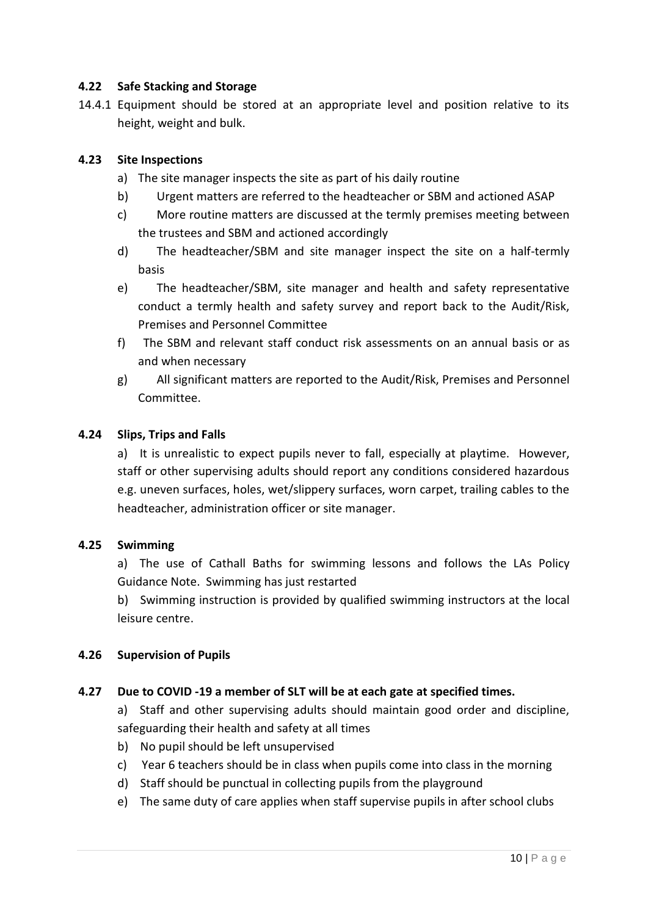#### **4.22 Safe Stacking and Storage**

14.4.1 Equipment should be stored at an appropriate level and position relative to its height, weight and bulk.

#### **4.23 Site Inspections**

- a) The site manager inspects the site as part of his daily routine
- b) Urgent matters are referred to the headteacher or SBM and actioned ASAP
- c) More routine matters are discussed at the termly premises meeting between the trustees and SBM and actioned accordingly
- d) The headteacher/SBM and site manager inspect the site on a half-termly basis
- e) The headteacher/SBM, site manager and health and safety representative conduct a termly health and safety survey and report back to the Audit/Risk, Premises and Personnel Committee
- f) The SBM and relevant staff conduct risk assessments on an annual basis or as and when necessary
- g) All significant matters are reported to the Audit/Risk, Premises and Personnel Committee.

#### **4.24 Slips, Trips and Falls**

a) It is unrealistic to expect pupils never to fall, especially at playtime. However, staff or other supervising adults should report any conditions considered hazardous e.g. uneven surfaces, holes, wet/slippery surfaces, worn carpet, trailing cables to the headteacher, administration officer or site manager.

#### **4.25 Swimming**

a) The use of Cathall Baths for swimming lessons and follows the LAs Policy Guidance Note. Swimming has just restarted

b) Swimming instruction is provided by qualified swimming instructors at the local leisure centre.

#### **4.26 Supervision of Pupils**

#### **4.27 Due to COVID -19 a member of SLT will be at each gate at specified times.**

a) Staff and other supervising adults should maintain good order and discipline, safeguarding their health and safety at all times

- b) No pupil should be left unsupervised
- c) Year 6 teachers should be in class when pupils come into class in the morning
- d) Staff should be punctual in collecting pupils from the playground
- e) The same duty of care applies when staff supervise pupils in after school clubs